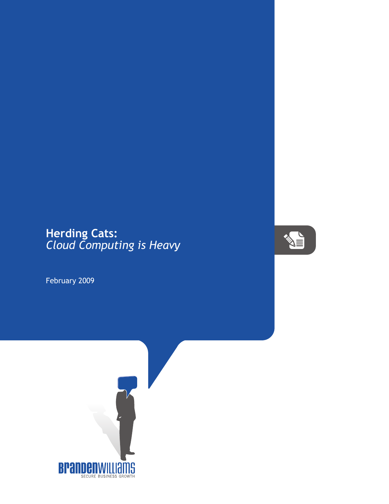## **Herding Cats:** *Cloud Computing is Heavy*

February 2009



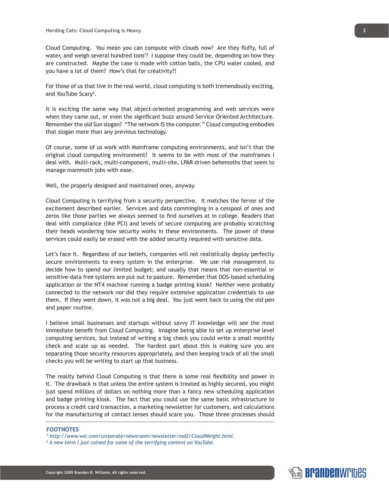Cloud Computing. You mean you can compute with clouds now? Are they fluffy, full of water, and weigh several hundred tons<sup>1</sup>? I suppose they could be, depending on how they are constructed. Maybe the case is made with cotton balls, the CPU water cooled, and you have a lot of them? How's that for creativity?!

For those of us that live in the real world, cloud computing is both tremendously exciting, and YouTube Scary<sup>2</sup>.

It is exciting the same way that object-oriented programming and web services were when they came out, or even the significant buzz around Service Oriented Architecture. Remember the old Sun slogan? "The network IS the computer." Cloud computing embodies that slogan more than any previous technology.

Of course, some of us work with Mainframe computing environments, and isn't that the original cloud computing environment? It seems to be with most of the mainframes I deal with. Multi-rack, multi-component, multi-site, LPAR driven behemoths that seem to manage mammoth jobs with ease.

Well, the properly designed and maintained ones, anyway.

Cloud Computing is terrifying from a security perspective. It matches the fervor of the excitement described earlier. Services and data commingling in a cesspool of ones and zeros like those parties we always seemed to find ourselves at in college. Readers that deal with compliance (like PCI) and levels of secure computing are probably scratching their heads wondering how security works in these environments. The power of these services could easily be erased with the added security required with sensitive data.

Let's face it. Regardless of our beliefs, companies will not realistically deploy perfectly secure environments to every system in the enterprise. We use risk management to decide how to spend our limited budget; and usually that means that non-essential or sensitive-data free systems are put out to pasture. Remember that DOS-based scheduling application or the NT4 machine running a badge printing kiosk? Neither were probably connected to the network nor did they require extensive application credentials to use them. If they went down, it was not a big deal. You just went back to using the old pen and paper routine.

I believe small businesses and startups without savvy IT knowledge will see the most immediate benefit from Cloud Computing. Imagine being able to set up enterprise level computing services, but instead of writing a big check you could write a small monthly check and scale up as needed. The hardest part about this is making sure you are separating those security resources appropriately, and then keeping track of all the small checks you will be writing to start up that business.

The reality behind Cloud Computing is that there is some real flexibility and power in it. The drawback is that unless the entire system is treated as highly secured, you might just spend millions of dollars on nothing more than a fancy new scheduling application and badge printing kiosk. The fact that you could use the same basic infrastructure to process a credit card transaction, a marketing newsletter for customers, and calculations for the manufacturing of contact lenses should scare you. Those three processes should

## **FOOTNOTES**

- *1 http://www.wsi.com/corporate/newsroom/newsletter/md2/CloudWeight.html.*
- *2 A new term I just coined for some of the terrifying content on YouTube.*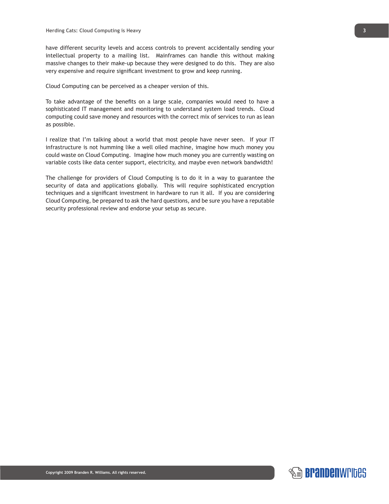have different security levels and access controls to prevent accidentally sending your intellectual property to a mailing list. Mainframes can handle this without making massive changes to their make-up because they were designed to do this. They are also very expensive and require significant investment to grow and keep running.

Cloud Computing can be perceived as a cheaper version of this.

To take advantage of the benefits on a large scale, companies would need to have a sophisticated IT management and monitoring to understand system load trends. Cloud computing could save money and resources with the correct mix of services to run as lean as possible.

I realize that I'm talking about a world that most people have never seen. If your IT infrastructure is not humming like a well oiled machine, imagine how much money you could waste on Cloud Computing. Imagine how much money you are currently wasting on variable costs like data center support, electricity, and maybe even network bandwidth!

The challenge for providers of Cloud Computing is to do it in a way to guarantee the security of data and applications globally. This will require sophisticated encryption techniques and a significant investment in hardware to run it all. If you are considering Cloud Computing, be prepared to ask the hard questions, and be sure you have a reputable security professional review and endorse your setup as secure.

**3**